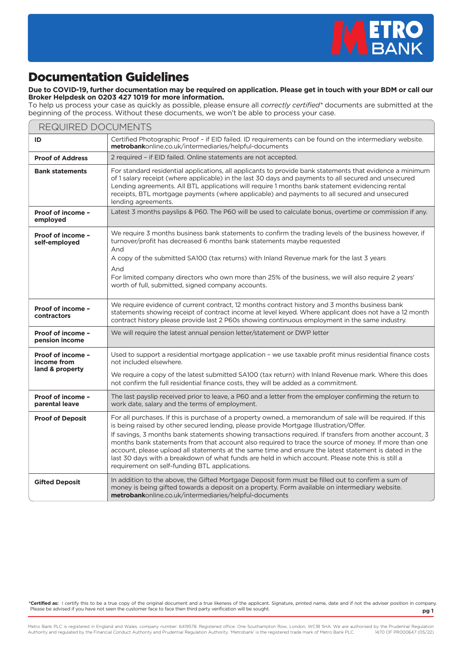

## Documentation Guidelines

## **Due to COVID-19, further documentation may be required on application. Please get in touch with your BDM or call our Broker Helpdesk on 0203 427 1019 for more information.**

To help us process your case as quickly as possible, please ensure all *correctly certified\** documents are submitted at the beginning of the process. Without these documents, we won't be able to process your case.

| REQUIRED DOCUMENTS                                  |                                                                                                                                                                                                                                                                                                                                                                                                                                                                                                                                                                                                                                                                                           |
|-----------------------------------------------------|-------------------------------------------------------------------------------------------------------------------------------------------------------------------------------------------------------------------------------------------------------------------------------------------------------------------------------------------------------------------------------------------------------------------------------------------------------------------------------------------------------------------------------------------------------------------------------------------------------------------------------------------------------------------------------------------|
| ID                                                  | Certified Photographic Proof - if EID failed. ID requirements can be found on the intermediary website.<br><b>metrobank</b> online.co.uk/intermediaries/helpful-documents                                                                                                                                                                                                                                                                                                                                                                                                                                                                                                                 |
| <b>Proof of Address</b>                             | 2 required - if EID failed. Online statements are not accepted.                                                                                                                                                                                                                                                                                                                                                                                                                                                                                                                                                                                                                           |
| <b>Bank statements</b>                              | For standard residential applications, all applicants to provide bank statements that evidence a minimum<br>of 1 salary receipt (where applicable) in the last 30 days and payments to all secured and unsecured<br>Lending agreements. All BTL applications will require 1 months bank statement evidencing rental<br>receipts, BTL mortgage payments (where applicable) and payments to all secured and unsecured<br>lending agreements.                                                                                                                                                                                                                                                |
| Proof of income -<br>employed                       | Latest 3 months payslips & P60. The P60 will be used to calculate bonus, overtime or commission if any.                                                                                                                                                                                                                                                                                                                                                                                                                                                                                                                                                                                   |
| Proof of income -<br>self-employed                  | We require 3 months business bank statements to confirm the trading levels of the business however, if<br>turnover/profit has decreased 6 months bank statements maybe requested<br>And<br>A copy of the submitted SA100 (tax returns) with Inland Revenue mark for the last 3 years<br>And<br>For limited company directors who own more than 25% of the business, we will also require 2 years'<br>worth of full, submitted, signed company accounts.                                                                                                                                                                                                                                   |
| Proof of income -<br>contractors                    | We require evidence of current contract, 12 months contract history and 3 months business bank<br>statements showing receipt of contract income at level keyed. Where applicant does not have a 12 month<br>contract history please provide last 2 P60s showing continuous employment in the same industry.                                                                                                                                                                                                                                                                                                                                                                               |
| Proof of income -<br>pension income                 | We will require the latest annual pension letter/statement or DWP letter                                                                                                                                                                                                                                                                                                                                                                                                                                                                                                                                                                                                                  |
| Proof of income -<br>income from<br>land & property | Used to support a residential mortgage application – we use taxable profit minus residential finance costs<br>not included elsewhere.<br>We require a copy of the latest submitted SA100 (tax return) with Inland Revenue mark. Where this does<br>not confirm the full residential finance costs, they will be added as a commitment.                                                                                                                                                                                                                                                                                                                                                    |
| Proof of income -<br>parental leave                 | The last payslip received prior to leave, a P60 and a letter from the employer confirming the return to<br>work date, salary and the terms of employment.                                                                                                                                                                                                                                                                                                                                                                                                                                                                                                                                 |
| <b>Proof of Deposit</b>                             | For all purchases. If this is purchase of a property owned, a memorandum of sale will be required. If this<br>is being raised by other secured lending, please provide Mortgage Illustration/Offer.<br>If savings, 3 months bank statements showing transactions required. If transfers from another account, 3<br>months bank statements from that account also required to trace the source of money. If more than one<br>account, please upload all statements at the same time and ensure the latest statement is dated in the<br>last 30 days with a breakdown of what funds are held in which account. Please note this is still a<br>requirement on self-funding BTL applications. |
| <b>Gifted Deposit</b>                               | In addition to the above, the Gifted Mortgage Deposit form must be filled out to confirm a sum of<br>money is being gifted towards a deposit on a property. Form available on intermediary website.<br><b>metrobank</b> online.co.uk/intermediaries/helpful-documents                                                                                                                                                                                                                                                                                                                                                                                                                     |

**\*Certified as:** I certify this to be a true copy of the original document and a true likeness of the applicant. Signature, printed name, date and if not the adviser position in company. Please be advised if you have not seen the customer face to face then third party verification will be sought. **pg 1**